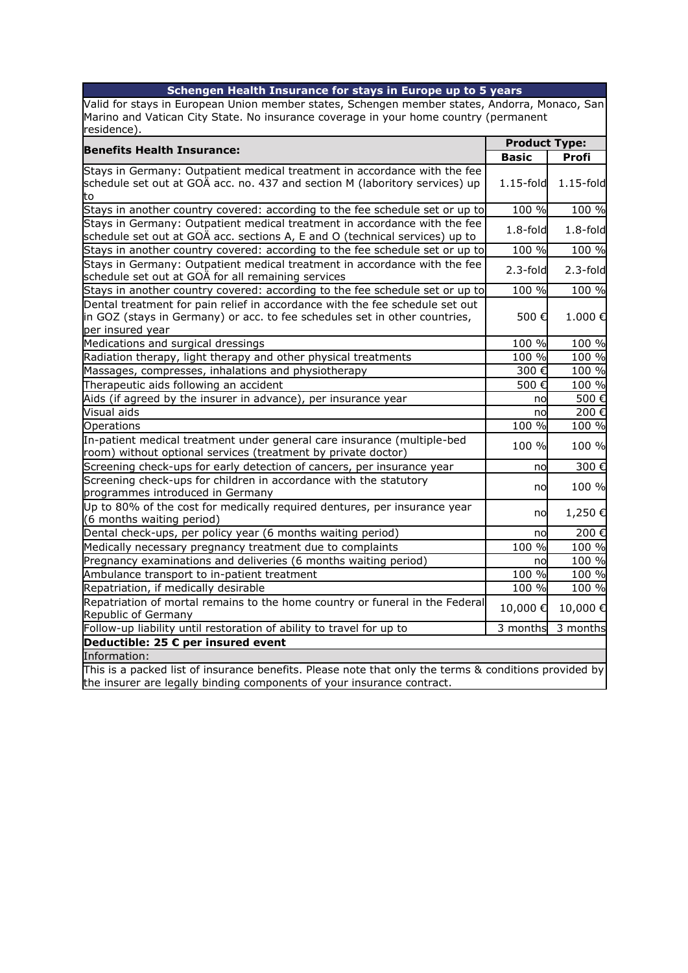| Valid for stays in European Union member states, Schengen member states, Andorra, Monaco, San<br>Marino and Vatican City State. No insurance coverage in your home country (permanent<br><b>Product Type:</b><br><b>Benefits Health Insurance:</b><br><b>Basic</b><br>Profi<br>Stays in Germany: Outpatient medical treatment in accordance with the fee<br>schedule set out at GOÄ acc. no. 437 and section M (laboritory services) up<br>$1.15$ -fold<br>$1.15$ -fold<br>Stays in another country covered: according to the fee schedule set or up to<br>100 %<br>100 %<br>Stays in Germany: Outpatient medical treatment in accordance with the fee<br>$1.8$ -fold<br>$1.8-fold$<br>schedule set out at GOÄ acc. sections A, E and O (technical services) up to<br>Stays in another country covered: according to the fee schedule set or up to<br>100 %<br>100 %<br>Stays in Germany: Outpatient medical treatment in accordance with the fee<br>$2.3$ -fold<br>$2.3$ -fold<br>schedule set out at GOÄ for all remaining services<br>Stays in another country covered: according to the fee schedule set or up to<br>100 %<br>100 %<br>Dental treatment for pain relief in accordance with the fee schedule set out<br>in GOZ (stays in Germany) or acc. to fee schedules set in other countries,<br>1.000€<br>500€<br>per insured year<br>Medications and surgical dressings<br>100 %<br>100 %<br>100 %<br>Radiation therapy, light therapy and other physical treatments<br>100 %<br>100 %<br>Massages, compresses, inhalations and physiotherapy<br>300€<br>Therapeutic aids following an accident<br>100 %<br>500€<br>500€<br>Aids (if agreed by the insurer in advance), per insurance year<br>no<br>Visual aids<br>200€<br>no<br>100 %<br>100 %<br>Operations<br>In-patient medical treatment under general care insurance (multiple-bed<br>100 %<br>100 %<br>room) without optional services (treatment by private doctor)<br>Screening check-ups for early detection of cancers, per insurance year<br>300€<br>no<br>Screening check-ups for children in accordance with the statutory<br>100 %<br>no<br>programmes introduced in Germany<br>Up to 80% of the cost for medically required dentures, per insurance year<br>1,250€<br>no<br>(6 months waiting period)<br>Dental check-ups, per policy year (6 months waiting period)<br>200€<br>no<br>100 %<br>100 %<br>Medically necessary pregnancy treatment due to complaints<br>Pregnancy examinations and deliveries (6 months waiting period)<br>100 %<br>no<br>100 %<br>100 %<br>Ambulance transport to in-patient treatment<br>100 %<br>100 %<br>Repatriation, if medically desirable<br>Repatriation of mortal remains to the home country or funeral in the Federal<br>10,000€<br>10,000€<br>Republic of Germany<br>Follow-up liability until restoration of ability to travel for up to<br>3 months<br>3 months<br>Deductible: 25 € per insured event<br>Information: | Schengen Health Insurance for stays in Europe up to 5 years |  |  |  |
|---------------------------------------------------------------------------------------------------------------------------------------------------------------------------------------------------------------------------------------------------------------------------------------------------------------------------------------------------------------------------------------------------------------------------------------------------------------------------------------------------------------------------------------------------------------------------------------------------------------------------------------------------------------------------------------------------------------------------------------------------------------------------------------------------------------------------------------------------------------------------------------------------------------------------------------------------------------------------------------------------------------------------------------------------------------------------------------------------------------------------------------------------------------------------------------------------------------------------------------------------------------------------------------------------------------------------------------------------------------------------------------------------------------------------------------------------------------------------------------------------------------------------------------------------------------------------------------------------------------------------------------------------------------------------------------------------------------------------------------------------------------------------------------------------------------------------------------------------------------------------------------------------------------------------------------------------------------------------------------------------------------------------------------------------------------------------------------------------------------------------------------------------------------------------------------------------------------------------------------------------------------------------------------------------------------------------------------------------------------------------------------------------------------------------------------------------------------------------------------------------------------------------------------------------------------------------------------------------------------------------------------------------------------------------------------------------------------------------------------------------------------------------------------------------------------------------------------------------------------------------------------------------------------------------------------------|-------------------------------------------------------------|--|--|--|
|                                                                                                                                                                                                                                                                                                                                                                                                                                                                                                                                                                                                                                                                                                                                                                                                                                                                                                                                                                                                                                                                                                                                                                                                                                                                                                                                                                                                                                                                                                                                                                                                                                                                                                                                                                                                                                                                                                                                                                                                                                                                                                                                                                                                                                                                                                                                                                                                                                                                                                                                                                                                                                                                                                                                                                                                                                                                                                                                             |                                                             |  |  |  |
|                                                                                                                                                                                                                                                                                                                                                                                                                                                                                                                                                                                                                                                                                                                                                                                                                                                                                                                                                                                                                                                                                                                                                                                                                                                                                                                                                                                                                                                                                                                                                                                                                                                                                                                                                                                                                                                                                                                                                                                                                                                                                                                                                                                                                                                                                                                                                                                                                                                                                                                                                                                                                                                                                                                                                                                                                                                                                                                                             |                                                             |  |  |  |
|                                                                                                                                                                                                                                                                                                                                                                                                                                                                                                                                                                                                                                                                                                                                                                                                                                                                                                                                                                                                                                                                                                                                                                                                                                                                                                                                                                                                                                                                                                                                                                                                                                                                                                                                                                                                                                                                                                                                                                                                                                                                                                                                                                                                                                                                                                                                                                                                                                                                                                                                                                                                                                                                                                                                                                                                                                                                                                                                             | residence).                                                 |  |  |  |
|                                                                                                                                                                                                                                                                                                                                                                                                                                                                                                                                                                                                                                                                                                                                                                                                                                                                                                                                                                                                                                                                                                                                                                                                                                                                                                                                                                                                                                                                                                                                                                                                                                                                                                                                                                                                                                                                                                                                                                                                                                                                                                                                                                                                                                                                                                                                                                                                                                                                                                                                                                                                                                                                                                                                                                                                                                                                                                                                             |                                                             |  |  |  |
|                                                                                                                                                                                                                                                                                                                                                                                                                                                                                                                                                                                                                                                                                                                                                                                                                                                                                                                                                                                                                                                                                                                                                                                                                                                                                                                                                                                                                                                                                                                                                                                                                                                                                                                                                                                                                                                                                                                                                                                                                                                                                                                                                                                                                                                                                                                                                                                                                                                                                                                                                                                                                                                                                                                                                                                                                                                                                                                                             |                                                             |  |  |  |
|                                                                                                                                                                                                                                                                                                                                                                                                                                                                                                                                                                                                                                                                                                                                                                                                                                                                                                                                                                                                                                                                                                                                                                                                                                                                                                                                                                                                                                                                                                                                                                                                                                                                                                                                                                                                                                                                                                                                                                                                                                                                                                                                                                                                                                                                                                                                                                                                                                                                                                                                                                                                                                                                                                                                                                                                                                                                                                                                             |                                                             |  |  |  |
|                                                                                                                                                                                                                                                                                                                                                                                                                                                                                                                                                                                                                                                                                                                                                                                                                                                                                                                                                                                                                                                                                                                                                                                                                                                                                                                                                                                                                                                                                                                                                                                                                                                                                                                                                                                                                                                                                                                                                                                                                                                                                                                                                                                                                                                                                                                                                                                                                                                                                                                                                                                                                                                                                                                                                                                                                                                                                                                                             |                                                             |  |  |  |
|                                                                                                                                                                                                                                                                                                                                                                                                                                                                                                                                                                                                                                                                                                                                                                                                                                                                                                                                                                                                                                                                                                                                                                                                                                                                                                                                                                                                                                                                                                                                                                                                                                                                                                                                                                                                                                                                                                                                                                                                                                                                                                                                                                                                                                                                                                                                                                                                                                                                                                                                                                                                                                                                                                                                                                                                                                                                                                                                             | to                                                          |  |  |  |
|                                                                                                                                                                                                                                                                                                                                                                                                                                                                                                                                                                                                                                                                                                                                                                                                                                                                                                                                                                                                                                                                                                                                                                                                                                                                                                                                                                                                                                                                                                                                                                                                                                                                                                                                                                                                                                                                                                                                                                                                                                                                                                                                                                                                                                                                                                                                                                                                                                                                                                                                                                                                                                                                                                                                                                                                                                                                                                                                             |                                                             |  |  |  |
|                                                                                                                                                                                                                                                                                                                                                                                                                                                                                                                                                                                                                                                                                                                                                                                                                                                                                                                                                                                                                                                                                                                                                                                                                                                                                                                                                                                                                                                                                                                                                                                                                                                                                                                                                                                                                                                                                                                                                                                                                                                                                                                                                                                                                                                                                                                                                                                                                                                                                                                                                                                                                                                                                                                                                                                                                                                                                                                                             |                                                             |  |  |  |
|                                                                                                                                                                                                                                                                                                                                                                                                                                                                                                                                                                                                                                                                                                                                                                                                                                                                                                                                                                                                                                                                                                                                                                                                                                                                                                                                                                                                                                                                                                                                                                                                                                                                                                                                                                                                                                                                                                                                                                                                                                                                                                                                                                                                                                                                                                                                                                                                                                                                                                                                                                                                                                                                                                                                                                                                                                                                                                                                             |                                                             |  |  |  |
|                                                                                                                                                                                                                                                                                                                                                                                                                                                                                                                                                                                                                                                                                                                                                                                                                                                                                                                                                                                                                                                                                                                                                                                                                                                                                                                                                                                                                                                                                                                                                                                                                                                                                                                                                                                                                                                                                                                                                                                                                                                                                                                                                                                                                                                                                                                                                                                                                                                                                                                                                                                                                                                                                                                                                                                                                                                                                                                                             |                                                             |  |  |  |
|                                                                                                                                                                                                                                                                                                                                                                                                                                                                                                                                                                                                                                                                                                                                                                                                                                                                                                                                                                                                                                                                                                                                                                                                                                                                                                                                                                                                                                                                                                                                                                                                                                                                                                                                                                                                                                                                                                                                                                                                                                                                                                                                                                                                                                                                                                                                                                                                                                                                                                                                                                                                                                                                                                                                                                                                                                                                                                                                             |                                                             |  |  |  |
|                                                                                                                                                                                                                                                                                                                                                                                                                                                                                                                                                                                                                                                                                                                                                                                                                                                                                                                                                                                                                                                                                                                                                                                                                                                                                                                                                                                                                                                                                                                                                                                                                                                                                                                                                                                                                                                                                                                                                                                                                                                                                                                                                                                                                                                                                                                                                                                                                                                                                                                                                                                                                                                                                                                                                                                                                                                                                                                                             |                                                             |  |  |  |
|                                                                                                                                                                                                                                                                                                                                                                                                                                                                                                                                                                                                                                                                                                                                                                                                                                                                                                                                                                                                                                                                                                                                                                                                                                                                                                                                                                                                                                                                                                                                                                                                                                                                                                                                                                                                                                                                                                                                                                                                                                                                                                                                                                                                                                                                                                                                                                                                                                                                                                                                                                                                                                                                                                                                                                                                                                                                                                                                             |                                                             |  |  |  |
|                                                                                                                                                                                                                                                                                                                                                                                                                                                                                                                                                                                                                                                                                                                                                                                                                                                                                                                                                                                                                                                                                                                                                                                                                                                                                                                                                                                                                                                                                                                                                                                                                                                                                                                                                                                                                                                                                                                                                                                                                                                                                                                                                                                                                                                                                                                                                                                                                                                                                                                                                                                                                                                                                                                                                                                                                                                                                                                                             |                                                             |  |  |  |
|                                                                                                                                                                                                                                                                                                                                                                                                                                                                                                                                                                                                                                                                                                                                                                                                                                                                                                                                                                                                                                                                                                                                                                                                                                                                                                                                                                                                                                                                                                                                                                                                                                                                                                                                                                                                                                                                                                                                                                                                                                                                                                                                                                                                                                                                                                                                                                                                                                                                                                                                                                                                                                                                                                                                                                                                                                                                                                                                             |                                                             |  |  |  |
|                                                                                                                                                                                                                                                                                                                                                                                                                                                                                                                                                                                                                                                                                                                                                                                                                                                                                                                                                                                                                                                                                                                                                                                                                                                                                                                                                                                                                                                                                                                                                                                                                                                                                                                                                                                                                                                                                                                                                                                                                                                                                                                                                                                                                                                                                                                                                                                                                                                                                                                                                                                                                                                                                                                                                                                                                                                                                                                                             |                                                             |  |  |  |
|                                                                                                                                                                                                                                                                                                                                                                                                                                                                                                                                                                                                                                                                                                                                                                                                                                                                                                                                                                                                                                                                                                                                                                                                                                                                                                                                                                                                                                                                                                                                                                                                                                                                                                                                                                                                                                                                                                                                                                                                                                                                                                                                                                                                                                                                                                                                                                                                                                                                                                                                                                                                                                                                                                                                                                                                                                                                                                                                             |                                                             |  |  |  |
|                                                                                                                                                                                                                                                                                                                                                                                                                                                                                                                                                                                                                                                                                                                                                                                                                                                                                                                                                                                                                                                                                                                                                                                                                                                                                                                                                                                                                                                                                                                                                                                                                                                                                                                                                                                                                                                                                                                                                                                                                                                                                                                                                                                                                                                                                                                                                                                                                                                                                                                                                                                                                                                                                                                                                                                                                                                                                                                                             |                                                             |  |  |  |
|                                                                                                                                                                                                                                                                                                                                                                                                                                                                                                                                                                                                                                                                                                                                                                                                                                                                                                                                                                                                                                                                                                                                                                                                                                                                                                                                                                                                                                                                                                                                                                                                                                                                                                                                                                                                                                                                                                                                                                                                                                                                                                                                                                                                                                                                                                                                                                                                                                                                                                                                                                                                                                                                                                                                                                                                                                                                                                                                             |                                                             |  |  |  |
|                                                                                                                                                                                                                                                                                                                                                                                                                                                                                                                                                                                                                                                                                                                                                                                                                                                                                                                                                                                                                                                                                                                                                                                                                                                                                                                                                                                                                                                                                                                                                                                                                                                                                                                                                                                                                                                                                                                                                                                                                                                                                                                                                                                                                                                                                                                                                                                                                                                                                                                                                                                                                                                                                                                                                                                                                                                                                                                                             |                                                             |  |  |  |
|                                                                                                                                                                                                                                                                                                                                                                                                                                                                                                                                                                                                                                                                                                                                                                                                                                                                                                                                                                                                                                                                                                                                                                                                                                                                                                                                                                                                                                                                                                                                                                                                                                                                                                                                                                                                                                                                                                                                                                                                                                                                                                                                                                                                                                                                                                                                                                                                                                                                                                                                                                                                                                                                                                                                                                                                                                                                                                                                             |                                                             |  |  |  |
|                                                                                                                                                                                                                                                                                                                                                                                                                                                                                                                                                                                                                                                                                                                                                                                                                                                                                                                                                                                                                                                                                                                                                                                                                                                                                                                                                                                                                                                                                                                                                                                                                                                                                                                                                                                                                                                                                                                                                                                                                                                                                                                                                                                                                                                                                                                                                                                                                                                                                                                                                                                                                                                                                                                                                                                                                                                                                                                                             |                                                             |  |  |  |
|                                                                                                                                                                                                                                                                                                                                                                                                                                                                                                                                                                                                                                                                                                                                                                                                                                                                                                                                                                                                                                                                                                                                                                                                                                                                                                                                                                                                                                                                                                                                                                                                                                                                                                                                                                                                                                                                                                                                                                                                                                                                                                                                                                                                                                                                                                                                                                                                                                                                                                                                                                                                                                                                                                                                                                                                                                                                                                                                             |                                                             |  |  |  |
|                                                                                                                                                                                                                                                                                                                                                                                                                                                                                                                                                                                                                                                                                                                                                                                                                                                                                                                                                                                                                                                                                                                                                                                                                                                                                                                                                                                                                                                                                                                                                                                                                                                                                                                                                                                                                                                                                                                                                                                                                                                                                                                                                                                                                                                                                                                                                                                                                                                                                                                                                                                                                                                                                                                                                                                                                                                                                                                                             |                                                             |  |  |  |
|                                                                                                                                                                                                                                                                                                                                                                                                                                                                                                                                                                                                                                                                                                                                                                                                                                                                                                                                                                                                                                                                                                                                                                                                                                                                                                                                                                                                                                                                                                                                                                                                                                                                                                                                                                                                                                                                                                                                                                                                                                                                                                                                                                                                                                                                                                                                                                                                                                                                                                                                                                                                                                                                                                                                                                                                                                                                                                                                             |                                                             |  |  |  |
|                                                                                                                                                                                                                                                                                                                                                                                                                                                                                                                                                                                                                                                                                                                                                                                                                                                                                                                                                                                                                                                                                                                                                                                                                                                                                                                                                                                                                                                                                                                                                                                                                                                                                                                                                                                                                                                                                                                                                                                                                                                                                                                                                                                                                                                                                                                                                                                                                                                                                                                                                                                                                                                                                                                                                                                                                                                                                                                                             |                                                             |  |  |  |
|                                                                                                                                                                                                                                                                                                                                                                                                                                                                                                                                                                                                                                                                                                                                                                                                                                                                                                                                                                                                                                                                                                                                                                                                                                                                                                                                                                                                                                                                                                                                                                                                                                                                                                                                                                                                                                                                                                                                                                                                                                                                                                                                                                                                                                                                                                                                                                                                                                                                                                                                                                                                                                                                                                                                                                                                                                                                                                                                             |                                                             |  |  |  |
|                                                                                                                                                                                                                                                                                                                                                                                                                                                                                                                                                                                                                                                                                                                                                                                                                                                                                                                                                                                                                                                                                                                                                                                                                                                                                                                                                                                                                                                                                                                                                                                                                                                                                                                                                                                                                                                                                                                                                                                                                                                                                                                                                                                                                                                                                                                                                                                                                                                                                                                                                                                                                                                                                                                                                                                                                                                                                                                                             |                                                             |  |  |  |
|                                                                                                                                                                                                                                                                                                                                                                                                                                                                                                                                                                                                                                                                                                                                                                                                                                                                                                                                                                                                                                                                                                                                                                                                                                                                                                                                                                                                                                                                                                                                                                                                                                                                                                                                                                                                                                                                                                                                                                                                                                                                                                                                                                                                                                                                                                                                                                                                                                                                                                                                                                                                                                                                                                                                                                                                                                                                                                                                             |                                                             |  |  |  |
|                                                                                                                                                                                                                                                                                                                                                                                                                                                                                                                                                                                                                                                                                                                                                                                                                                                                                                                                                                                                                                                                                                                                                                                                                                                                                                                                                                                                                                                                                                                                                                                                                                                                                                                                                                                                                                                                                                                                                                                                                                                                                                                                                                                                                                                                                                                                                                                                                                                                                                                                                                                                                                                                                                                                                                                                                                                                                                                                             |                                                             |  |  |  |
|                                                                                                                                                                                                                                                                                                                                                                                                                                                                                                                                                                                                                                                                                                                                                                                                                                                                                                                                                                                                                                                                                                                                                                                                                                                                                                                                                                                                                                                                                                                                                                                                                                                                                                                                                                                                                                                                                                                                                                                                                                                                                                                                                                                                                                                                                                                                                                                                                                                                                                                                                                                                                                                                                                                                                                                                                                                                                                                                             |                                                             |  |  |  |
|                                                                                                                                                                                                                                                                                                                                                                                                                                                                                                                                                                                                                                                                                                                                                                                                                                                                                                                                                                                                                                                                                                                                                                                                                                                                                                                                                                                                                                                                                                                                                                                                                                                                                                                                                                                                                                                                                                                                                                                                                                                                                                                                                                                                                                                                                                                                                                                                                                                                                                                                                                                                                                                                                                                                                                                                                                                                                                                                             |                                                             |  |  |  |
|                                                                                                                                                                                                                                                                                                                                                                                                                                                                                                                                                                                                                                                                                                                                                                                                                                                                                                                                                                                                                                                                                                                                                                                                                                                                                                                                                                                                                                                                                                                                                                                                                                                                                                                                                                                                                                                                                                                                                                                                                                                                                                                                                                                                                                                                                                                                                                                                                                                                                                                                                                                                                                                                                                                                                                                                                                                                                                                                             |                                                             |  |  |  |
|                                                                                                                                                                                                                                                                                                                                                                                                                                                                                                                                                                                                                                                                                                                                                                                                                                                                                                                                                                                                                                                                                                                                                                                                                                                                                                                                                                                                                                                                                                                                                                                                                                                                                                                                                                                                                                                                                                                                                                                                                                                                                                                                                                                                                                                                                                                                                                                                                                                                                                                                                                                                                                                                                                                                                                                                                                                                                                                                             |                                                             |  |  |  |
|                                                                                                                                                                                                                                                                                                                                                                                                                                                                                                                                                                                                                                                                                                                                                                                                                                                                                                                                                                                                                                                                                                                                                                                                                                                                                                                                                                                                                                                                                                                                                                                                                                                                                                                                                                                                                                                                                                                                                                                                                                                                                                                                                                                                                                                                                                                                                                                                                                                                                                                                                                                                                                                                                                                                                                                                                                                                                                                                             |                                                             |  |  |  |
|                                                                                                                                                                                                                                                                                                                                                                                                                                                                                                                                                                                                                                                                                                                                                                                                                                                                                                                                                                                                                                                                                                                                                                                                                                                                                                                                                                                                                                                                                                                                                                                                                                                                                                                                                                                                                                                                                                                                                                                                                                                                                                                                                                                                                                                                                                                                                                                                                                                                                                                                                                                                                                                                                                                                                                                                                                                                                                                                             |                                                             |  |  |  |
|                                                                                                                                                                                                                                                                                                                                                                                                                                                                                                                                                                                                                                                                                                                                                                                                                                                                                                                                                                                                                                                                                                                                                                                                                                                                                                                                                                                                                                                                                                                                                                                                                                                                                                                                                                                                                                                                                                                                                                                                                                                                                                                                                                                                                                                                                                                                                                                                                                                                                                                                                                                                                                                                                                                                                                                                                                                                                                                                             |                                                             |  |  |  |
|                                                                                                                                                                                                                                                                                                                                                                                                                                                                                                                                                                                                                                                                                                                                                                                                                                                                                                                                                                                                                                                                                                                                                                                                                                                                                                                                                                                                                                                                                                                                                                                                                                                                                                                                                                                                                                                                                                                                                                                                                                                                                                                                                                                                                                                                                                                                                                                                                                                                                                                                                                                                                                                                                                                                                                                                                                                                                                                                             |                                                             |  |  |  |
|                                                                                                                                                                                                                                                                                                                                                                                                                                                                                                                                                                                                                                                                                                                                                                                                                                                                                                                                                                                                                                                                                                                                                                                                                                                                                                                                                                                                                                                                                                                                                                                                                                                                                                                                                                                                                                                                                                                                                                                                                                                                                                                                                                                                                                                                                                                                                                                                                                                                                                                                                                                                                                                                                                                                                                                                                                                                                                                                             |                                                             |  |  |  |
| This is a packed list of insurance benefits. Please note that only the terms & conditions provided by                                                                                                                                                                                                                                                                                                                                                                                                                                                                                                                                                                                                                                                                                                                                                                                                                                                                                                                                                                                                                                                                                                                                                                                                                                                                                                                                                                                                                                                                                                                                                                                                                                                                                                                                                                                                                                                                                                                                                                                                                                                                                                                                                                                                                                                                                                                                                                                                                                                                                                                                                                                                                                                                                                                                                                                                                                       |                                                             |  |  |  |
| the insurer are legally binding components of your insurance contract.                                                                                                                                                                                                                                                                                                                                                                                                                                                                                                                                                                                                                                                                                                                                                                                                                                                                                                                                                                                                                                                                                                                                                                                                                                                                                                                                                                                                                                                                                                                                                                                                                                                                                                                                                                                                                                                                                                                                                                                                                                                                                                                                                                                                                                                                                                                                                                                                                                                                                                                                                                                                                                                                                                                                                                                                                                                                      |                                                             |  |  |  |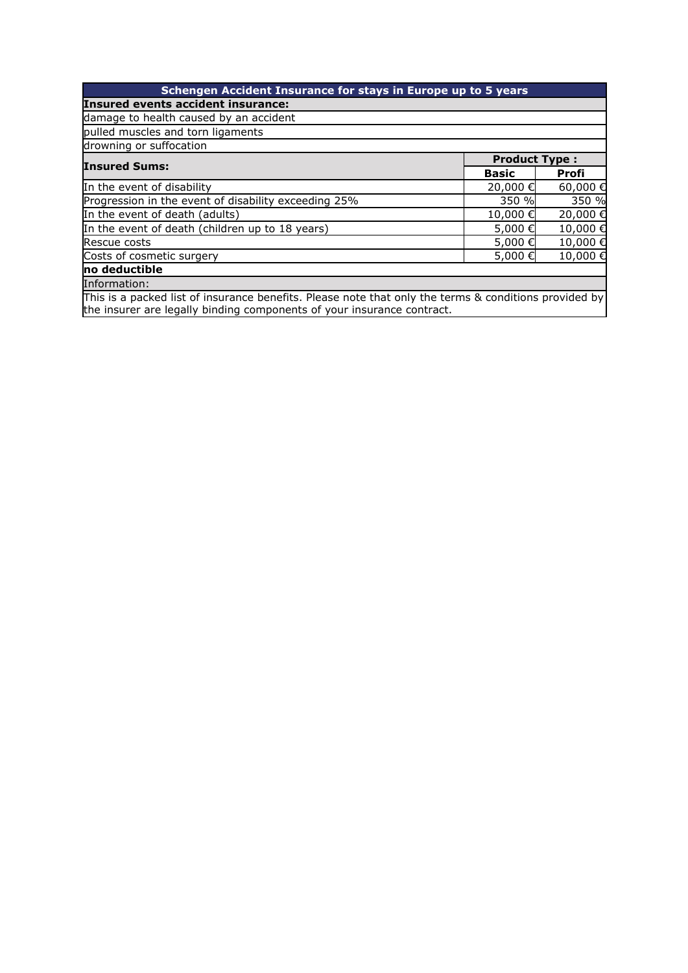| Schengen Accident Insurance for stays in Europe up to 5 years                                         |              |                      |  |
|-------------------------------------------------------------------------------------------------------|--------------|----------------------|--|
| Insured events accident insurance:                                                                    |              |                      |  |
| damage to health caused by an accident                                                                |              |                      |  |
| pulled muscles and torn ligaments                                                                     |              |                      |  |
| drowning or suffocation                                                                               |              |                      |  |
| <b>Insured Sums:</b>                                                                                  |              | <b>Product Type:</b> |  |
|                                                                                                       | <b>Basic</b> | <b>Profi</b>         |  |
| In the event of disability                                                                            | 20,000€      | 60,000€              |  |
| Progression in the event of disability exceeding 25%                                                  | 350 %        | 350 %                |  |
| In the event of death (adults)                                                                        | 10,000€      | 20,000€              |  |
| In the event of death (children up to 18 years)                                                       | 5,000€       | 10,000€              |  |
| Rescue costs                                                                                          | 5,000€       | 10,000€              |  |
| Costs of cosmetic surgery                                                                             | 5,000€       | 10,000€              |  |
| no deductible                                                                                         |              |                      |  |
| Information:                                                                                          |              |                      |  |
| This is a packed list of insurance benefits. Please note that only the terms & conditions provided by |              |                      |  |

This is a packed list of insurance benefits. Please note that only the terms & conditions provided by the insurer are legally binding components of your insurance contract.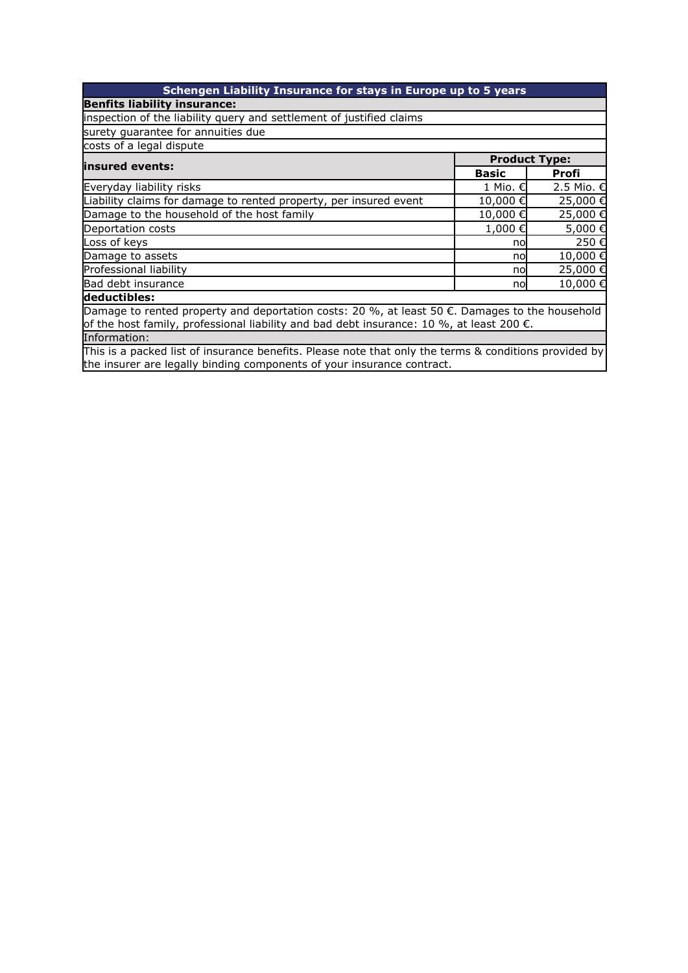| Schengen Liability Insurance for stays in Europe up to 5 years                                                                                                                                       |                      |            |  |
|------------------------------------------------------------------------------------------------------------------------------------------------------------------------------------------------------|----------------------|------------|--|
| <b>Benfits liability insurance:</b>                                                                                                                                                                  |                      |            |  |
| inspection of the liability query and settlement of justified claims                                                                                                                                 |                      |            |  |
| surety quarantee for annuities due                                                                                                                                                                   |                      |            |  |
| costs of a legal dispute                                                                                                                                                                             |                      |            |  |
| linsured events:                                                                                                                                                                                     | <b>Product Type:</b> |            |  |
|                                                                                                                                                                                                      | <b>Basic</b>         | Profi      |  |
| Everyday liability risks                                                                                                                                                                             | 1 Mio. €             | 2.5 Mio. € |  |
| Liability claims for damage to rented property, per insured event                                                                                                                                    | 10,000€              | 25,000€    |  |
| Damage to the household of the host family                                                                                                                                                           | 10,000€              | 25,000€    |  |
| Deportation costs                                                                                                                                                                                    | 1,000€               | 5,000€     |  |
| Loss of keys                                                                                                                                                                                         | no                   | 250€       |  |
| Damage to assets                                                                                                                                                                                     | no                   | 10,000€    |  |
| Professional liability                                                                                                                                                                               | no                   | 25,000€    |  |
| Bad debt insurance                                                                                                                                                                                   | no                   | 10,000€    |  |
| deductibles:                                                                                                                                                                                         |                      |            |  |
| Damage to rented property and deportation costs: 20 %, at least 50 €. Damages to the household<br>of the host family, professional liability and bad debt insurance: 10 %, at least 200 $\epsilon$ . |                      |            |  |
| Information:                                                                                                                                                                                         |                      |            |  |
|                                                                                                                                                                                                      |                      |            |  |

This is a packed list of insurance benefits. Please note that only the terms & conditions provided by the insurer are legally binding components of your insurance contract.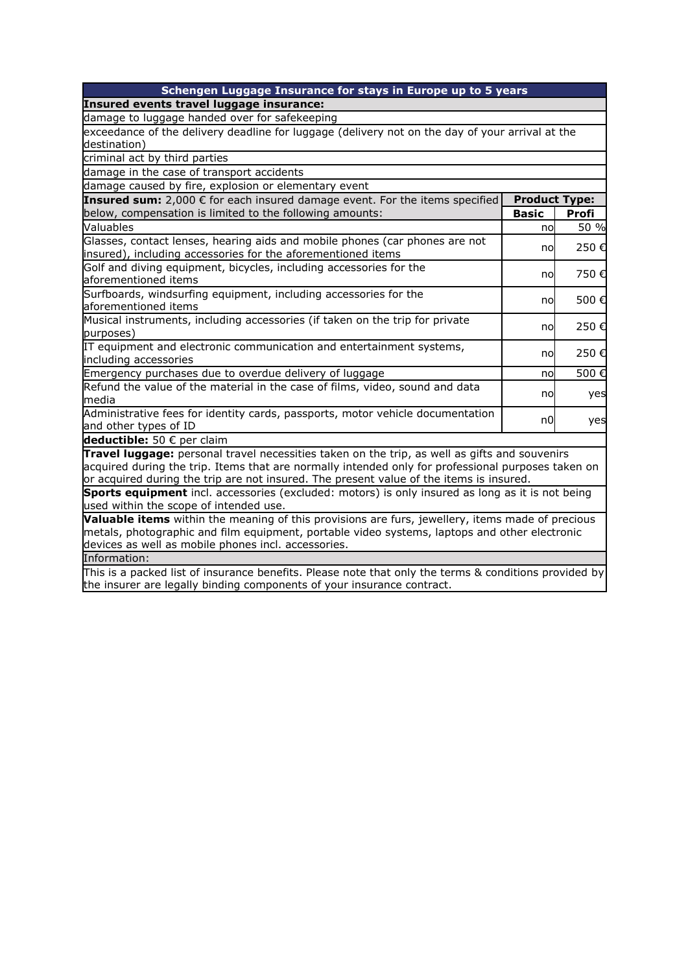| Schengen Luggage Insurance for stays in Europe up to 5 years                                                                                                                                      |                      |              |  |
|---------------------------------------------------------------------------------------------------------------------------------------------------------------------------------------------------|----------------------|--------------|--|
| Insured events travel luggage insurance:                                                                                                                                                          |                      |              |  |
| damage to luggage handed over for safekeeping                                                                                                                                                     |                      |              |  |
| exceedance of the delivery deadline for luggage (delivery not on the day of your arrival at the                                                                                                   |                      |              |  |
| destination)                                                                                                                                                                                      |                      |              |  |
| criminal act by third parties                                                                                                                                                                     |                      |              |  |
| damage in the case of transport accidents                                                                                                                                                         |                      |              |  |
| damage caused by fire, explosion or elementary event                                                                                                                                              |                      |              |  |
| Insured sum: 2,000 € for each insured damage event. For the items specified                                                                                                                       | <b>Product Type:</b> |              |  |
| below, compensation is limited to the following amounts:                                                                                                                                          | <b>Basic</b>         | <b>Profi</b> |  |
| Valuables                                                                                                                                                                                         | no                   | 50 %         |  |
| Glasses, contact lenses, hearing aids and mobile phones (car phones are not                                                                                                                       | nol                  | 250€         |  |
| insured), including accessories for the aforementioned items                                                                                                                                      |                      |              |  |
| Golf and diving equipment, bicycles, including accessories for the                                                                                                                                | no                   | 750€         |  |
| aforementioned items                                                                                                                                                                              |                      |              |  |
| Surfboards, windsurfing equipment, including accessories for the<br>aforementioned items                                                                                                          | nol                  | 500€         |  |
| Musical instruments, including accessories (if taken on the trip for private                                                                                                                      |                      |              |  |
| purposes)                                                                                                                                                                                         | no                   | 250€         |  |
| IT equipment and electronic communication and entertainment systems,                                                                                                                              |                      |              |  |
| including accessories                                                                                                                                                                             | nol                  | 250€         |  |
| Emergency purchases due to overdue delivery of luggage                                                                                                                                            | no                   | 500€         |  |
| Refund the value of the material in the case of films, video, sound and data                                                                                                                      |                      |              |  |
| media                                                                                                                                                                                             | no                   | yes          |  |
| Administrative fees for identity cards, passports, motor vehicle documentation                                                                                                                    | n0l                  | yes          |  |
| and other types of ID                                                                                                                                                                             |                      |              |  |
| deductible: 50 € per claim                                                                                                                                                                        |                      |              |  |
| Travel luggage: personal travel necessities taken on the trip, as well as gifts and souvenirs                                                                                                     |                      |              |  |
| acquired during the trip. Items that are normally intended only for professional purposes taken on                                                                                                |                      |              |  |
| or acquired during the trip are not insured. The present value of the items is insured.                                                                                                           |                      |              |  |
| Sports equipment incl. accessories (excluded: motors) is only insured as long as it is not being                                                                                                  |                      |              |  |
| used within the scope of intended use.                                                                                                                                                            |                      |              |  |
| Valuable items within the meaning of this provisions are furs, jewellery, items made of precious<br>metals, photographic and film equipment, portable video systems, laptops and other electronic |                      |              |  |
| devices as well as mobile phones incl. accessories.                                                                                                                                               |                      |              |  |
| Information:                                                                                                                                                                                      |                      |              |  |
| This is a packed list of insurance benefits. Please note that only the terms & conditions provided by                                                                                             |                      |              |  |
| the insurer are legally binding components of your insurance contract.                                                                                                                            |                      |              |  |
|                                                                                                                                                                                                   |                      |              |  |